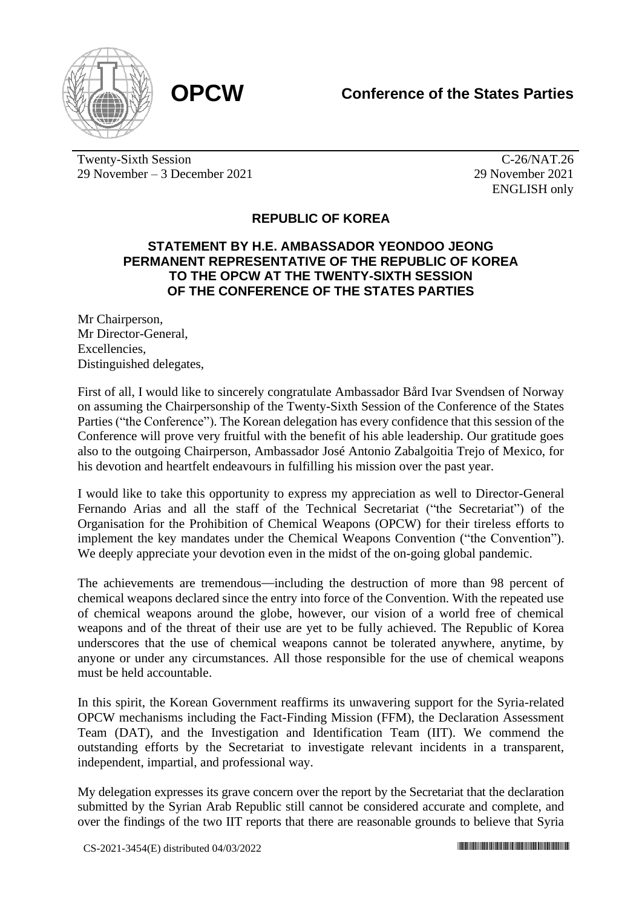

Twenty-Sixth Session 29 November – 3 December 2021

C-26/NAT.26 29 November 2021 ENGLISH only

## **REPUBLIC OF KOREA**

## **STATEMENT BY H.E. AMBASSADOR YEONDOO JEONG PERMANENT REPRESENTATIVE OF THE REPUBLIC OF KOREA TO THE OPCW AT THE TWENTY-SIXTH SESSION OF THE CONFERENCE OF THE STATES PARTIES**

Mr Chairperson, Mr Director-General, Excellencies, Distinguished delegates,

First of all, I would like to sincerely congratulate Ambassador Bård Ivar Svendsen of Norway on assuming the Chairpersonship of the Twenty-Sixth Session of the Conference of the States Parties ("the Conference"). The Korean delegation has every confidence that this session of the Conference will prove very fruitful with the benefit of his able leadership. Our gratitude goes also to the outgoing Chairperson, Ambassador José Antonio Zabalgoitia Trejo of Mexico, for his devotion and heartfelt endeavours in fulfilling his mission over the past year.

I would like to take this opportunity to express my appreciation as well to Director-General Fernando Arias and all the staff of the Technical Secretariat ("the Secretariat") of the Organisation for the Prohibition of Chemical Weapons (OPCW) for their tireless efforts to implement the key mandates under the Chemical Weapons Convention ("the Convention"). We deeply appreciate your devotion even in the midst of the on-going global pandemic.

The achievements are tremendous*—*including the destruction of more than 98 percent of chemical weapons declared since the entry into force of the Convention. With the repeated use of chemical weapons around the globe, however, our vision of a world free of chemical weapons and of the threat of their use are yet to be fully achieved. The Republic of Korea underscores that the use of chemical weapons cannot be tolerated anywhere, anytime, by anyone or under any circumstances. All those responsible for the use of chemical weapons must be held accountable.

In this spirit, the Korean Government reaffirms its unwavering support for the Syria-related OPCW mechanisms including the Fact-Finding Mission (FFM), the Declaration Assessment Team (DAT), and the Investigation and Identification Team (IIT). We commend the outstanding efforts by the Secretariat to investigate relevant incidents in a transparent, independent, impartial, and professional way.

My delegation expresses its grave concern over the report by the Secretariat that the declaration submitted by the Syrian Arab Republic still cannot be considered accurate and complete, and over the findings of the two IIT reports that there are reasonable grounds to believe that Syria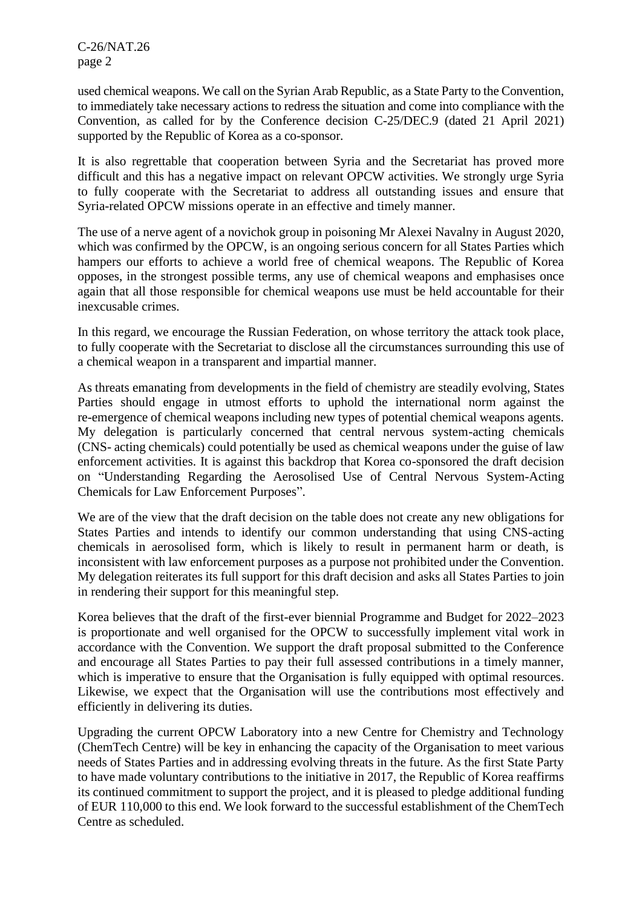C-26/NAT.26 page 2

used chemical weapons. We call on the Syrian Arab Republic, as a State Party to the Convention, to immediately take necessary actions to redress the situation and come into compliance with the Convention, as called for by the Conference decision C-25/DEC.9 (dated 21 April 2021) supported by the Republic of Korea as a co-sponsor.

It is also regrettable that cooperation between Syria and the Secretariat has proved more difficult and this has a negative impact on relevant OPCW activities. We strongly urge Syria to fully cooperate with the Secretariat to address all outstanding issues and ensure that Syria-related OPCW missions operate in an effective and timely manner.

The use of a nerve agent of a novichok group in poisoning Mr Alexei Navalny in August 2020, which was confirmed by the OPCW, is an ongoing serious concern for all States Parties which hampers our efforts to achieve a world free of chemical weapons. The Republic of Korea opposes, in the strongest possible terms, any use of chemical weapons and emphasises once again that all those responsible for chemical weapons use must be held accountable for their inexcusable crimes.

In this regard, we encourage the Russian Federation, on whose territory the attack took place, to fully cooperate with the Secretariat to disclose all the circumstances surrounding this use of a chemical weapon in a transparent and impartial manner.

As threats emanating from developments in the field of chemistry are steadily evolving, States Parties should engage in utmost efforts to uphold the international norm against the re-emergence of chemical weapons including new types of potential chemical weapons agents. My delegation is particularly concerned that central nervous system-acting chemicals (CNS- acting chemicals) could potentially be used as chemical weapons under the guise of law enforcement activities. It is against this backdrop that Korea co-sponsored the draft decision on "Understanding Regarding the Aerosolised Use of Central Nervous System-Acting Chemicals for Law Enforcement Purposes".

We are of the view that the draft decision on the table does not create any new obligations for States Parties and intends to identify our common understanding that using CNS-acting chemicals in aerosolised form, which is likely to result in permanent harm or death, is inconsistent with law enforcement purposes as a purpose not prohibited under the Convention. My delegation reiterates its full support for this draft decision and asks all States Parties to join in rendering their support for this meaningful step.

Korea believes that the draft of the first-ever biennial Programme and Budget for 2022–2023 is proportionate and well organised for the OPCW to successfully implement vital work in accordance with the Convention. We support the draft proposal submitted to the Conference and encourage all States Parties to pay their full assessed contributions in a timely manner, which is imperative to ensure that the Organisation is fully equipped with optimal resources. Likewise, we expect that the Organisation will use the contributions most effectively and efficiently in delivering its duties.

Upgrading the current OPCW Laboratory into a new Centre for Chemistry and Technology (ChemTech Centre) will be key in enhancing the capacity of the Organisation to meet various needs of States Parties and in addressing evolving threats in the future. As the first State Party to have made voluntary contributions to the initiative in 2017, the Republic of Korea reaffirms its continued commitment to support the project, and it is pleased to pledge additional funding of EUR 110,000 to this end. We look forward to the successful establishment of the ChemTech Centre as scheduled.